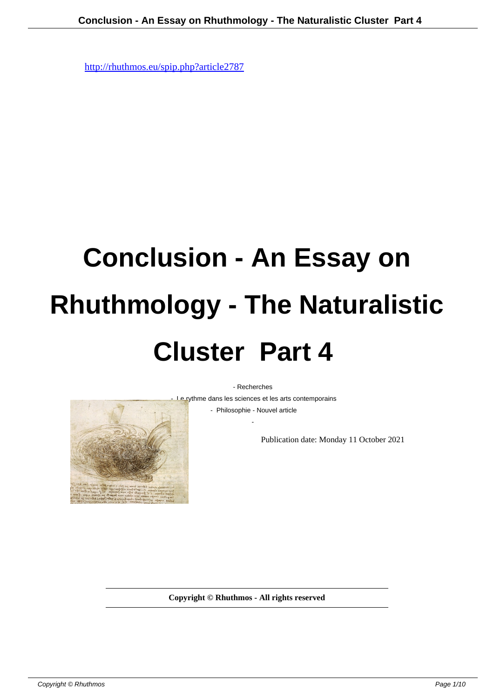## **Conclusion - An Essay on Rhuthmology - The Naturalistic Cluster Part 4**

- Recherches

- Le rythme dans les sciences et les arts contemporains

 - Philosophie - Nouvel article -

Publication date: Monday 11 October 2021

**Copyright © Rhuthmos - All rights reserved**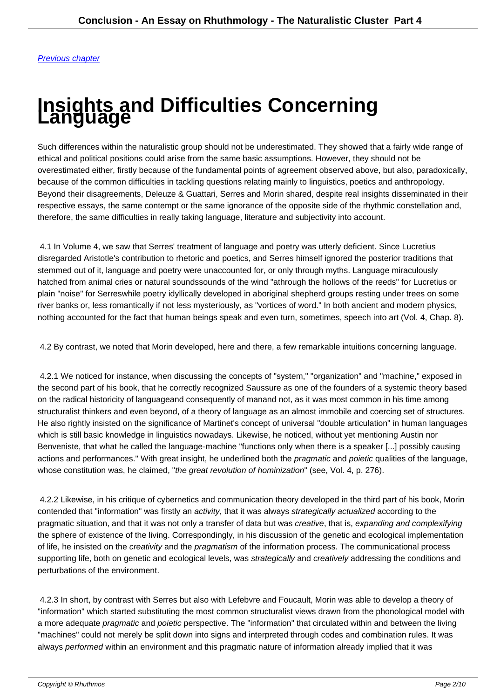## **[Insight](http://rhuthmos.eu/spip.php?article2788)s and Difficulties Concerning Language**

Such differences within the naturalistic group should not be underestimated. They showed that a fairly wide range of ethical and political positions could arise from the same basic assumptions. However, they should not be overestimated either, firstly because of the fundamental points of agreement observed above, but also, paradoxically, because of the common difficulties in tackling questions relating mainly to linguistics, poetics and anthropology. Beyond their disagreements, Deleuze & Guattari, Serres and Morin shared, despite real insights disseminated in their respective essays, the same contempt or the same ignorance of the opposite side of the rhythmic constellation and, therefore, the same difficulties in really taking language, literature and subjectivity into account.

 4.1 In Volume 4, we saw that Serres' treatment of language and poetry was utterly deficient. Since Lucretius disregarded Aristotle's contribution to rhetoric and poetics, and Serres himself ignored the posterior traditions that stemmed out of it, language and poetry were unaccounted for, or only through myths. Language miraculously hatched from animal cries or natural sounds sounds of the wind "athrough the hollows of the reeds" for Lucretius or plain "noise" for Serreswhile poetry idyllically developed in aboriginal shepherd groups resting under trees on some river banks or, less romantically if not less mysteriously, as "vortices of word." In both ancient and modern physics, nothing accounted for the fact that human beings speak and even turn, sometimes, speech into art (Vol. 4, Chap. 8).

4.2 By contrast, we noted that Morin developed, here and there, a few remarkable intuitions concerning language.

 4.2.1 We noticed for instance, when discussing the concepts of "system," "organization" and "machine," exposed in the second part of his book, that he correctly recognized Saussure as one of the founders of a systemic theory based on the radical historicity of language and consequently of man and not, as it was most common in his time among structuralist thinkers and even beyond, of a theory of language as an almost immobile and coercing set of structures. He also rightly insisted on the significance of Martinet's concept of universal "double articulation" in human languages which is still basic knowledge in linguistics nowadays. Likewise, he noticed, without yet mentioning Austin nor Benveniste, that what he called the language-machine "functions only when there is a speaker [...] possibly causing actions and performances." With great insight, he underlined both the *pragmatic* and *poietic* qualities of the language, whose constitution was, he claimed, "the great revolution of hominization" (see, Vol. 4, p. 276).

 4.2.2 Likewise, in his critique of cybernetics and communication theory developed in the third part of his book, Morin contended that "information" was firstly an *activity*, that it was always strategically actualized according to the pragmatic situation, and that it was not only a transfer of data but was creative, that is, expanding and complexifying the sphere of existence of the living. Correspondingly, in his discussion of the genetic and ecological implementation of life, he insisted on the *creativity* and the *pragmatism* of the information process. The communicational process supporting life, both on genetic and ecological levels, was strategically and creatively addressing the conditions and perturbations of the environment.

 4.2.3 In short, by contrast with Serres but also with Lefebvre and Foucault, Morin was able to develop a theory of "information" which started substituting the most common structuralist views drawn from the phonological model with a more adequate pragmatic and poietic perspective. The "information" that circulated within and between the living "machines" could not merely be split down into signs and interpreted through codes and combination rules. It was always performed within an environment and this pragmatic nature of information already implied that it was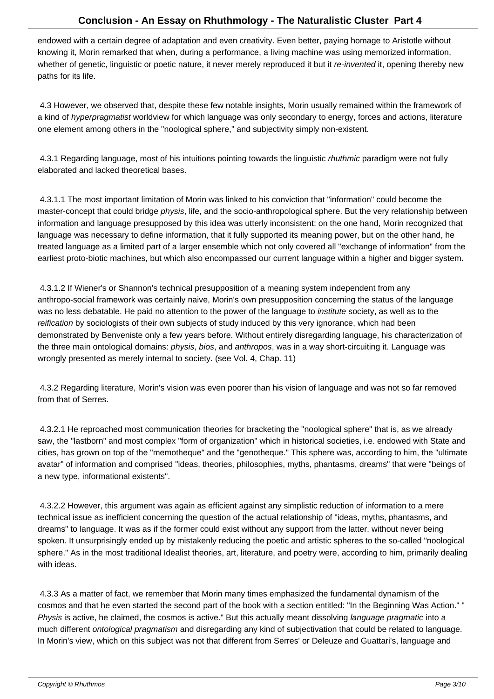endowed with a certain degree of adaptation and even creativity. Even better, paying homage to Aristotle without knowing it, Morin remarked that when, during a performance, a living machine was using memorized information, whether of genetic, linguistic or poetic nature, it never merely reproduced it but it re-invented it, opening thereby new paths for its life.

 4.3 However, we observed that, despite these few notable insights, Morin usually remained within the framework of a kind of hyperpragmatist worldview for which language was only secondary to energy, forces and actions, literature one element among others in the "noological sphere," and subjectivity simply non-existent.

4.3.1 Regarding language, most of his intuitions pointing towards the linguistic *rhuthmic* paradigm were not fully elaborated and lacked theoretical bases.

 4.3.1.1 The most important limitation of Morin was linked to his conviction that "information" could become the master-concept that could bridge physis, life, and the socio-anthropological sphere. But the very relationship between information and language presupposed by this idea was utterly inconsistent: on the one hand, Morin recognized that language was necessary to define information, that it fully supported its meaning power, but on the other hand, he treated language as a limited part of a larger ensemble which not only covered all "exchange of information" from the earliest proto-biotic machines, but which also encompassed our current language within a higher and bigger system.

 4.3.1.2 If Wiener's or Shannon's technical presupposition of a meaning system independent from any anthropo-social framework was certainly naive, Morin's own presupposition concerning the status of the language was no less debatable. He paid no attention to the power of the language to *institute* society, as well as to the reification by sociologists of their own subjects of study induced by this very ignorance, which had been demonstrated by Benveniste only a few years before. Without entirely disregarding language, his characterization of the three main ontological domains: *physis, bios, and anthropos, was in a way short-circuiting it. Language was* wrongly presented as merely internal to society. (see Vol. 4, Chap. 11)

 4.3.2 Regarding literature, Morin's vision was even poorer than his vision of language and was not so far removed from that of Serres.

 4.3.2.1 He reproached most communication theories for bracketing the "noological sphere" that is, as we already saw, the "lastborn" and most complex "form of organization" which in historical societies, i.e. endowed with State and cities, has grown on top of the "memotheque" and the "genotheque." This sphere was, according to him, the "ultimate avatar" of information and comprised "ideas, theories, philosophies, myths, phantasms, dreams" that were "beings of a new type, informational existents".

 4.3.2.2 However, this argument was again as efficient against any simplistic reduction of information to a mere technical issue as inefficient concerning the question of the actual relationship of "ideas, myths, phantasms, and dreams" to language. It was as if the former could exist without any support from the latter, without never being spoken. It unsurprisingly ended up by mistakenly reducing the poetic and artistic spheres to the so-called "noological sphere." As in the most traditional Idealist theories, art, literature, and poetry were, according to him, primarily dealing with ideas.

 4.3.3 As a matter of fact, we remember that Morin many times emphasized the fundamental dynamism of the cosmos and that he even started the second part of the book with a section entitled: "In the Beginning Was Action." " Physis is active, he claimed, the cosmos is active." But this actually meant dissolving language pragmatic into a much different ontological pragmatism and disregarding any kind of subjectivation that could be related to language. In Morin's view, which on this subject was not that different from Serres' or Deleuze and Guattari's, language and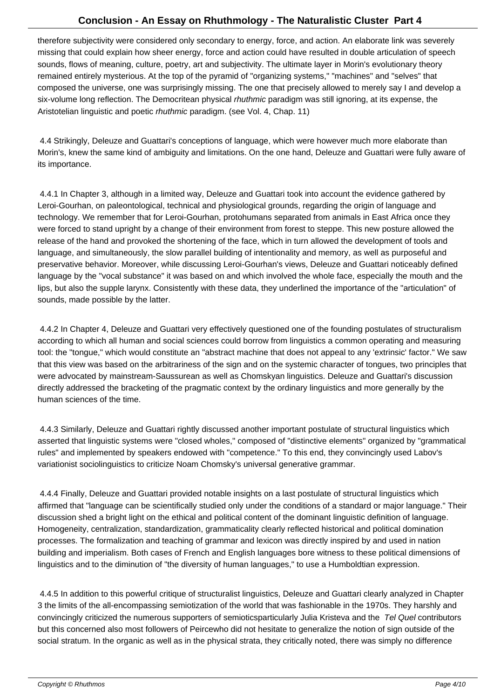therefore subjectivity were considered only secondary to energy, force, and action. An elaborate link was severely missing that could explain how sheer energy, force and action could have resulted in double articulation of speech sounds, flows of meaning, culture, poetry, art and subjectivity. The ultimate layer in Morin's evolutionary theory remained entirely mysterious. At the top of the pyramid of "organizing systems," "machines" and "selves" that composed the universe, one was surprisingly missing. The one that precisely allowed to merely say I and develop a six-volume long reflection. The Democritean physical *rhuthmic* paradigm was still ignoring, at its expense, the Aristotelian linguistic and poetic rhuthmic paradigm. (see Vol. 4, Chap. 11)

 4.4 Strikingly, Deleuze and Guattari's conceptions of language, which were however much more elaborate than Morin's, knew the same kind of ambiguity and limitations. On the one hand, Deleuze and Guattari were fully aware of its importance.

 4.4.1 In Chapter 3, although in a limited way, Deleuze and Guattari took into account the evidence gathered by Leroi-Gourhan, on paleontological, technical and physiological grounds, regarding the origin of language and technology. We remember that for Leroi-Gourhan, protohumans separated from animals in East Africa once they were forced to stand upright by a change of their environment from forest to steppe. This new posture allowed the release of the hand and provoked the shortening of the face, which in turn allowed the development of tools and language, and simultaneously, the slow parallel building of intentionality and memory, as well as purposeful and preservative behavior. Moreover, while discussing Leroi-Gourhan's views, Deleuze and Guattari noticeably defined language by the "vocal substance" it was based on and which involved the whole face, especially the mouth and the lips, but also the supple larynx. Consistently with these data, they underlined the importance of the "articulation" of sounds, made possible by the latter.

 4.4.2 In Chapter 4, Deleuze and Guattari very effectively questioned one of the founding postulates of structuralism according to which all human and social sciences could borrow from linguistics a common operating and measuring tool: the "tongue," which would constitute an "abstract machine that does not appeal to any 'extrinsic' factor." We saw that this view was based on the arbitrariness of the sign and on the systemic character of tongues, two principles that were advocated by mainstream-Saussurean as well as Chomskyan linguistics. Deleuze and Guattari's discussion directly addressed the bracketing of the pragmatic context by the ordinary linguistics and more generally by the human sciences of the time.

 4.4.3 Similarly, Deleuze and Guattari rightly discussed another important postulate of structural linguistics which asserted that linguistic systems were "closed wholes," composed of "distinctive elements" organized by "grammatical rules" and implemented by speakers endowed with "competence." To this end, they convincingly used Labov's variationist sociolinguistics to criticize Noam Chomsky's universal generative grammar.

 4.4.4 Finally, Deleuze and Guattari provided notable insights on a last postulate of structural linguistics which affirmed that "language can be scientifically studied only under the conditions of a standard or major language." Their discussion shed a bright light on the ethical and political content of the dominant linguistic definition of language. Homogeneity, centralization, standardization, grammaticality clearly reflected historical and political domination processes. The formalization and teaching of grammar and lexicon was directly inspired by and used in nation building and imperialism. Both cases of French and English languages bore witness to these political dimensions of linguistics and to the diminution of "the diversity of human languages," to use a Humboldtian expression.

 4.4.5 In addition to this powerful critique of structuralist linguistics, Deleuze and Guattari clearly analyzed in Chapter 3 the limits of the all-encompassing semiotization of the world that was fashionable in the 1970s. They harshly and convincingly criticized the numerous supporters of semiotics particularly Julia Kristeva and the Tel Quel contributors but this concerned also most followers of Peircewho did not hesitate to generalize the notion of sign outside of the social stratum. In the organic as well as in the physical strata, they critically noted, there was simply no difference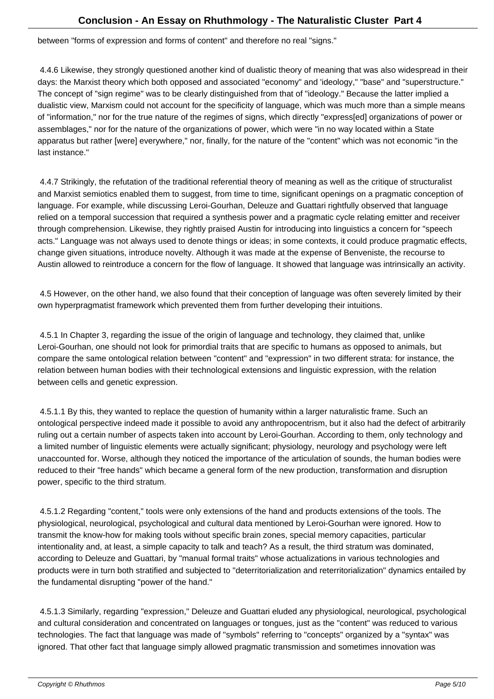between "forms of expression and forms of content" and therefore no real "signs."

 4.4.6 Likewise, they strongly questioned another kind of dualistic theory of meaning that was also widespread in their days: the Marxist theory which both opposed and associated "economy" and 'ideology," "base" and "superstructure." The concept of "sign regime" was to be clearly distinguished from that of "ideology." Because the latter implied a dualistic view, Marxism could not account for the specificity of language, which was much more than a simple means of "information," nor for the true nature of the regimes of signs, which directly "express[ed] organizations of power or assemblages," nor for the nature of the organizations of power, which were "in no way located within a State apparatus but rather [were] everywhere," nor, finally, for the nature of the "content" which was not economic "in the last instance."

 4.4.7 Strikingly, the refutation of the traditional referential theory of meaning as well as the critique of structuralist and Marxist semiotics enabled them to suggest, from time to time, significant openings on a pragmatic conception of language. For example, while discussing Leroi-Gourhan, Deleuze and Guattari rightfully observed that language relied on a temporal succession that required a synthesis power and a pragmatic cycle relating emitter and receiver through comprehension. Likewise, they rightly praised Austin for introducing into linguistics a concern for "speech acts." Language was not always used to denote things or ideas; in some contexts, it could produce pragmatic effects, change given situations, introduce novelty. Although it was made at the expense of Benveniste, the recourse to Austin allowed to reintroduce a concern for the flow of language. It showed that language was intrinsically an activity.

 4.5 However, on the other hand, we also found that their conception of language was often severely limited by their own hyperpragmatist framework which prevented them from further developing their intuitions.

 4.5.1 In Chapter 3, regarding the issue of the origin of language and technology, they claimed that, unlike Leroi-Gourhan, one should not look for primordial traits that are specific to humans as opposed to animals, but compare the same ontological relation between "content" and "expression" in two different strata: for instance, the relation between human bodies with their technological extensions and linguistic expression, with the relation between cells and genetic expression.

 4.5.1.1 By this, they wanted to replace the question of humanity within a larger naturalistic frame. Such an ontological perspective indeed made it possible to avoid any anthropocentrism, but it also had the defect of arbitrarily ruling out a certain number of aspects taken into account by Leroi-Gourhan. According to them, only technology and a limited number of linguistic elements were actually significant; physiology, neurology and psychology were left unaccounted for. Worse, although they noticed the importance of the articulation of sounds, the human bodies were reduced to their "free hands" which became a general form of the new production, transformation and disruption power, specific to the third stratum.

 4.5.1.2 Regarding "content," tools were only extensions of the hand and products extensions of the tools. The physiological, neurological, psychological and cultural data mentioned by Leroi-Gourhan were ignored. How to transmit the know-how for making tools without specific brain zones, special memory capacities, particular intentionality and, at least, a simple capacity to talk and teach? As a result, the third stratum was dominated, according to Deleuze and Guattari, by "manual formal traits" whose actualizations in various technologies and products were in turn both stratified and subjected to "deterritorialization and reterritorialization" dynamics entailed by the fundamental disrupting "power of the hand."

 4.5.1.3 Similarly, regarding "expression," Deleuze and Guattari eluded any physiological, neurological, psychological and cultural consideration and concentrated on languages or tongues, just as the "content" was reduced to various technologies. The fact that language was made of "symbols" referring to "concepts" organized by a "syntax" was ignored. That other fact that language simply allowed pragmatic transmission and sometimes innovation was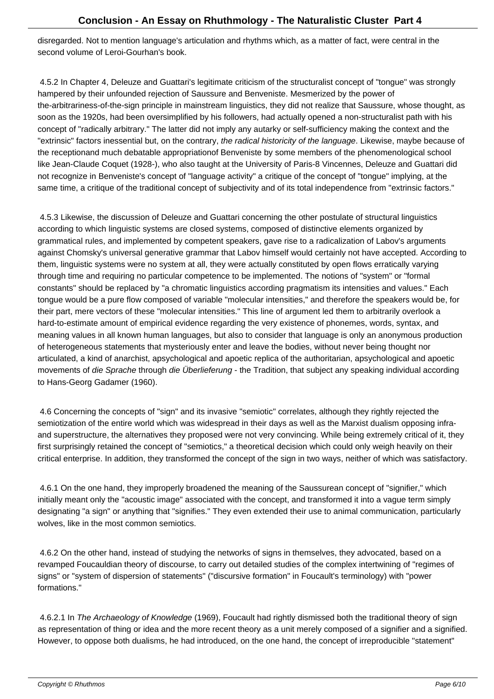disregarded. Not to mention language's articulation and rhythms which, as a matter of fact, were central in the second volume of Leroi-Gourhan's book.

 4.5.2 In Chapter 4, Deleuze and Guattari's legitimate criticism of the structuralist concept of "tongue" was strongly hampered by their unfounded rejection of Saussure and Benveniste. Mesmerized by the power of the-arbitrariness-of-the-sign principle in mainstream linguistics, they did not realize that Saussure, whose thought, as soon as the 1920s, had been oversimplified by his followers, had actually opened a non-structuralist path with his concept of "radically arbitrary." The latter did not imply any autarky or self-sufficiency making the context and the "extrinsic" factors inessential but, on the contrary, the radical historicity of the language. Likewise, maybe because of the reception and much debatable appropriation of Benveniste by some members of the phenomenological school like Jean-Claude Coquet (1928-), who also taught at the University of Paris-8 Vincennes, Deleuze and Guattari did not recognize in Benveniste's concept of "language activity" a critique of the concept of "tongue" implying, at the same time, a critique of the traditional concept of subjectivity and of its total independence from "extrinsic factors."

 4.5.3 Likewise, the discussion of Deleuze and Guattari concerning the other postulate of structural linguistics according to which linguistic systems are closed systems, composed of distinctive elements organized by grammatical rules, and implemented by competent speakers, gave rise to a radicalization of Labov's arguments against Chomsky's universal generative grammar that Labov himself would certainly not have accepted. According to them, linguistic systems were no system at all, they were actually constituted by open flows erratically varying through time and requiring no particular competence to be implemented. The notions of "system" or "formal constants" should be replaced by "a chromatic linguistics according pragmatism its intensities and values." Each tongue would be a pure flow composed of variable "molecular intensities," and therefore the speakers would be, for their part, mere vectors of these "molecular intensities." This line of argument led them to arbitrarily overlook a hard-to-estimate amount of empirical evidence regarding the very existence of phonemes, words, syntax, and meaning values in all known human languages, but also to consider that language is only an anonymous production of heterogeneous statements that mysteriously enter and leave the bodies, without never being thought nor articulated, a kind of anarchist, apsychological and apoetic replica of the authoritarian, apsychological and apoetic movements of die Sprache through die Überlieferung - the Tradition, that subject any speaking individual according to Hans-Georg Gadamer (1960).

 4.6 Concerning the concepts of "sign" and its invasive "semiotic" correlates, although they rightly rejected the semiotization of the entire world which was widespread in their days as well as the Marxist dualism opposing infraand superstructure, the alternatives they proposed were not very convincing. While being extremely critical of it, they first surprisingly retained the concept of "semiotics," a theoretical decision which could only weigh heavily on their critical enterprise. In addition, they transformed the concept of the sign in two ways, neither of which was satisfactory.

 4.6.1 On the one hand, they improperly broadened the meaning of the Saussurean concept of "signifier," which initially meant only the "acoustic image" associated with the concept, and transformed it into a vague term simply designating "a sign" or anything that "signifies." They even extended their use to animal communication, particularly wolves, like in the most common semiotics.

 4.6.2 On the other hand, instead of studying the networks of signs in themselves, they advocated, based on a revamped Foucauldian theory of discourse, to carry out detailed studies of the complex intertwining of "regimes of signs" or "system of dispersion of statements" ("discursive formation" in Foucault's terminology) with "power formations."

4.6.2.1 In The Archaeology of Knowledge (1969), Foucault had rightly dismissed both the traditional theory of sign as representation of thing or idea and the more recent theory as a unit merely composed of a signifier and a signified. However, to oppose both dualisms, he had introduced, on the one hand, the concept of irreproducible "statement"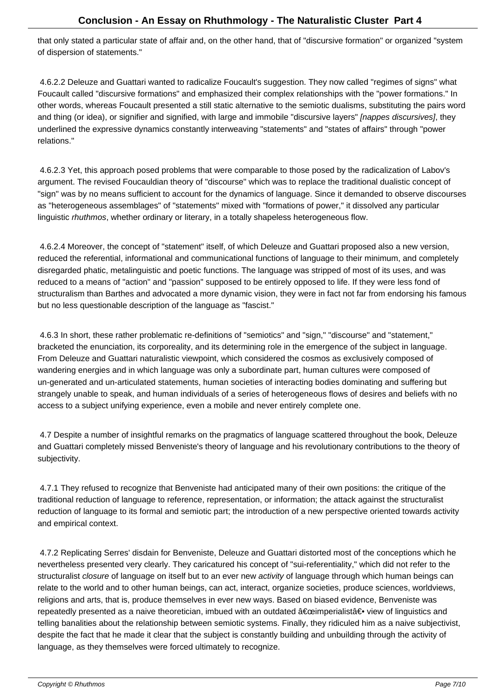that only stated a particular state of affair and, on the other hand, that of "discursive formation" or organized "system of dispersion of statements."

 4.6.2.2 Deleuze and Guattari wanted to radicalize Foucault's suggestion. They now called "regimes of signs" what Foucault called "discursive formations" and emphasized their complex relationships with the "power formations." In other words, whereas Foucault presented a still static alternative to the semiotic dualisms, substituting the pairs word and thing (or idea), or signifier and signified, with large and immobile "discursive layers" [nappes discursives], they underlined the expressive dynamics constantly interweaving "statements" and "states of affairs" through "power relations."

 4.6.2.3 Yet, this approach posed problems that were comparable to those posed by the radicalization of Labov's argument. The revised Foucauldian theory of "discourse" which was to replace the traditional dualistic concept of "sign" was by no means sufficient to account for the dynamics of language. Since it demanded to observe discourses as "heterogeneous assemblages" of "statements" mixed with "formations of power," it dissolved any particular linguistic rhuthmos, whether ordinary or literary, in a totally shapeless heterogeneous flow.

 4.6.2.4 Moreover, the concept of "statement" itself, of which Deleuze and Guattari proposed also a new version, reduced the referential, informational and communicational functions of language to their minimum, and completely disregarded phatic, metalinguistic and poetic functions. The language was stripped of most of its uses, and was reduced to a means of "action" and "passion" supposed to be entirely opposed to life. If they were less fond of structuralism than Barthes and advocated a more dynamic vision, they were in fact not far from endorsing his famous but no less questionable description of the language as "fascist."

 4.6.3 In short, these rather problematic re-definitions of "semiotics" and "sign," "discourse" and "statement," bracketed the enunciation, its corporeality, and its determining role in the emergence of the subject in language. From Deleuze and Guattari naturalistic viewpoint, which considered the cosmos as exclusively composed of wandering energies and in which language was only a subordinate part, human cultures were composed of un-generated and un-articulated statements, human societies of interacting bodies dominating and suffering but strangely unable to speak, and human individuals of a series of heterogeneous flows of desires and beliefs with no access to a subject unifying experience, even a mobile and never entirely complete one.

 4.7 Despite a number of insightful remarks on the pragmatics of language scattered throughout the book, Deleuze and Guattari completely missed Benveniste's theory of language and his revolutionary contributions to the theory of subjectivity.

 4.7.1 They refused to recognize that Benveniste had anticipated many of their own positions: the critique of the traditional reduction of language to reference, representation, or information; the attack against the structuralist reduction of language to its formal and semiotic part; the introduction of a new perspective oriented towards activity and empirical context.

 4.7.2 Replicating Serres' disdain for Benveniste, Deleuze and Guattari distorted most of the conceptions which he nevertheless presented very clearly. They caricatured his concept of "sui-referentiality," which did not refer to the structuralist closure of language on itself but to an ever new *activity* of language through which human beings can relate to the world and to other human beings, can act, interact, organize societies, produce sciences, worldviews, religions and arts, that is, produce themselves in ever new ways. Based on biased evidence, Benveniste was repeatedly presented as a naive theoretician, imbued with an outdated "imperialist― view of linguistics and telling banalities about the relationship between semiotic systems. Finally, they ridiculed him as a naive subjectivist, despite the fact that he made it clear that the subject is constantly building and unbuilding through the activity of language, as they themselves were forced ultimately to recognize.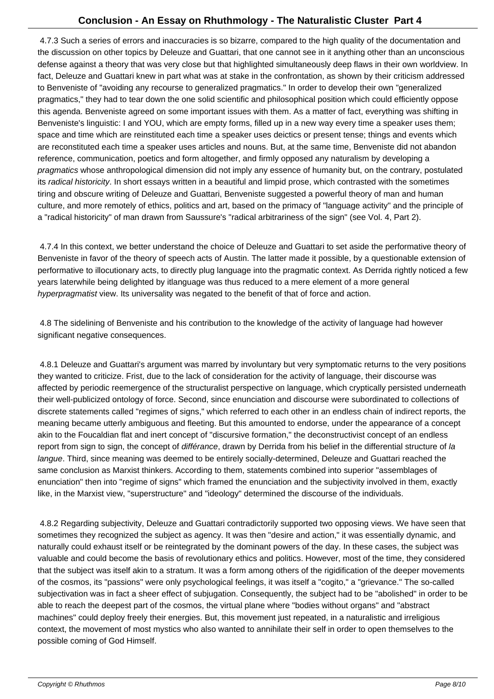4.7.3 Such a series of errors and inaccuracies is so bizarre, compared to the high quality of the documentation and the discussion on other topics by Deleuze and Guattari, that one cannot see in it anything other than an unconscious defense against a theory that was very close but that highlighted simultaneously deep flaws in their own worldview. In fact, Deleuze and Guattari knew in part what was at stake in the confrontation, as shown by their criticism addressed to Benveniste of "avoiding any recourse to generalized pragmatics." In order to develop their own "generalized pragmatics," they had to tear down the one solid scientific and philosophical position which could efficiently oppose this agenda. Benveniste agreed on some important issues with them. As a matter of fact, everything was shifting in Benveniste's linguistic: I and YOU, which are empty forms, filled up in a new way every time a speaker uses them; space and time which are reinstituted each time a speaker uses deictics or present tense; things and events which are reconstituted each time a speaker uses articles and nouns. But, at the same time, Benveniste did not abandon reference, communication, poetics and form altogether, and firmly opposed any naturalism by developing a pragmatics whose anthropological dimension did not imply any essence of humanity but, on the contrary, postulated its radical historicity. In short essays written in a beautiful and limpid prose, which contrasted with the sometimes tiring and obscure writing of Deleuze and Guattari, Benveniste suggested a powerful theory of man and human culture, and more remotely of ethics, politics and art, based on the primacy of "language activity" and the principle of a "radical historicity" of man drawn from Saussure's "radical arbitrariness of the sign" (see Vol. 4, Part 2).

 4.7.4 In this context, we better understand the choice of Deleuze and Guattari to set aside the performative theory of Benveniste in favor of the theory of speech acts of Austin. The latter made it possible, by a questionable extension of performative to illocutionary acts, to directly plug language into the pragmatic context. As Derrida rightly noticed a few years laterwhile being delighted by itlanguage was thus reduced to a mere element of a more general hyperpragmatist view. Its universality was negated to the benefit of that of force and action.

 4.8 The sidelining of Benveniste and his contribution to the knowledge of the activity of language had however significant negative consequences.

 4.8.1 Deleuze and Guattari's argument was marred by involuntary but very symptomatic returns to the very positions they wanted to criticize. Frist, due to the lack of consideration for the activity of language, their discourse was affected by periodic reemergence of the structuralist perspective on language, which cryptically persisted underneath their well-publicized ontology of force. Second, since enunciation and discourse were subordinated to collections of discrete statements called "regimes of signs," which referred to each other in an endless chain of indirect reports, the meaning became utterly ambiguous and fleeting. But this amounted to endorse, under the appearance of a concept akin to the Foucaldian flat and inert concept of "discursive formation," the deconstructivist concept of an endless report from sign to sign, the concept of différance, drawn by Derrida from his belief in the differential structure of la langue. Third, since meaning was deemed to be entirely socially-determined, Deleuze and Guattari reached the same conclusion as Marxist thinkers. According to them, statements combined into superior "assemblages of enunciation" then into "regime of signs" which framed the enunciation and the subjectivity involved in them, exactly like, in the Marxist view, "superstructure" and "ideology" determined the discourse of the individuals.

 4.8.2 Regarding subjectivity, Deleuze and Guattari contradictorily supported two opposing views. We have seen that sometimes they recognized the subject as agency. It was then "desire and action," it was essentially dynamic, and naturally could exhaust itself or be reintegrated by the dominant powers of the day. In these cases, the subject was valuable and could become the basis of revolutionary ethics and politics. However, most of the time, they considered that the subject was itself akin to a stratum. It was a form among others of the rigidification of the deeper movements of the cosmos, its "passions" were only psychological feelings, it was itself a "cogito," a "grievance." The so-called subjectivation was in fact a sheer effect of subjugation. Consequently, the subject had to be "abolished" in order to be able to reach the deepest part of the cosmos, the virtual plane where "bodies without organs" and "abstract machines" could deploy freely their energies. But, this movement just repeated, in a naturalistic and irreligious context, the movement of most mystics who also wanted to annihilate their self in order to open themselves to the possible coming of God Himself.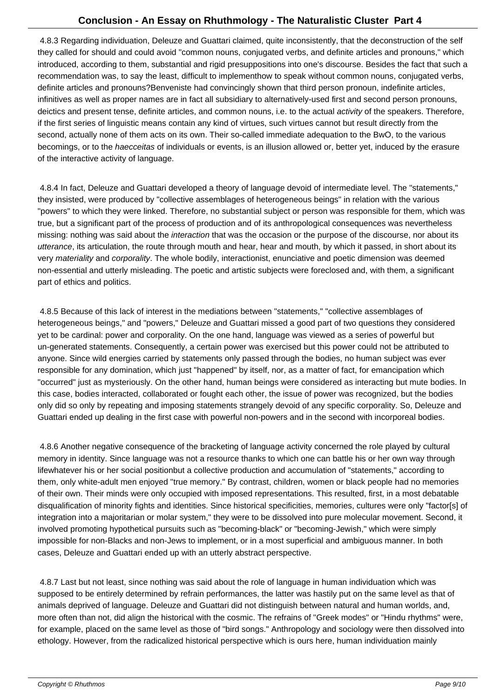4.8.3 Regarding individuation, Deleuze and Guattari claimed, quite inconsistently, that the deconstruction of the self they called for should and could avoid "common nouns, conjugated verbs, and definite articles and pronouns," which introduced, according to them, substantial and rigid presuppositions into one's discourse. Besides the fact that such a recommendation was, to say the least, difficult to implement how to speak without common nouns, conjugated verbs, definite articles and pronouns? Benveniste had convincingly shown that third person pronoun, indefinite articles, infinitives as well as proper names are in fact all subsidiary to alternatively-used first and second person pronouns, deictics and present tense, definite articles, and common nouns, i.e. to the actual *activity* of the speakers. Therefore, if the first series of linguistic means contain any kind of virtues, such virtues cannot but result directly from the second, actually none of them acts on its own. Their so-called immediate adequation to the BwO, to the various becomings, or to the *haecceitas* of individuals or events, is an illusion allowed or, better yet, induced by the erasure of the interactive activity of language.

 4.8.4 In fact, Deleuze and Guattari developed a theory of language devoid of intermediate level. The "statements," they insisted, were produced by "collective assemblages of heterogeneous beings" in relation with the various "powers" to which they were linked. Therefore, no substantial subject or person was responsible for them, which was true, but a significant part of the process of production and of its anthropological consequences was nevertheless missing: nothing was said about the *interaction* that was the occasion or the purpose of the discourse, nor about its utterance, its articulation, the route through mouth and hear, hear and mouth, by which it passed, in short about its very materiality and corporality. The whole bodily, interactionist, enunciative and poetic dimension was deemed non-essential and utterly misleading. The poetic and artistic subjects were foreclosed and, with them, a significant part of ethics and politics.

 4.8.5 Because of this lack of interest in the mediations between "statements," "collective assemblages of heterogeneous beings," and "powers," Deleuze and Guattari missed a good part of two questions they considered yet to be cardinal: power and corporality. On the one hand, language was viewed as a series of powerful but un-generated statements. Consequently, a certain power was exercised but this power could not be attributed to anyone. Since wild energies carried by statements only passed through the bodies, no human subject was ever responsible for any domination, which just "happened" by itself, nor, as a matter of fact, for emancipation which "occurred" just as mysteriously. On the other hand, human beings were considered as interacting but mute bodies. In this case, bodies interacted, collaborated or fought each other, the issue of power was recognized, but the bodies only did so only by repeating and imposing statements strangely devoid of any specific corporality. So, Deleuze and Guattari ended up dealing in the first case with powerful non-powers and in the second with incorporeal bodies.

 4.8.6 Another negative consequence of the bracketing of language activity concerned the role played by cultural memory in identity. Since language was not a resource thanks to which one can battle his or her own way through life whatever his or her social position but a collective production and accumulation of "statements," according to them, only white-adult men enjoyed "true memory." By contrast, children, women or black people had no memories of their own. Their minds were only occupied with imposed representations. This resulted, first, in a most debatable disqualification of minority fights and identities. Since historical specificities, memories, cultures were only "factor[s] of integration into a majoritarian or molar system," they were to be dissolved into pure molecular movement. Second, it involved promoting hypothetical pursuits such as "becoming-black" or "becoming-Jewish," which were simply impossible for non-Blacks and non-Jews to implement, or in a most superficial and ambiguous manner. In both cases, Deleuze and Guattari ended up with an utterly abstract perspective.

 4.8.7 Last but not least, since nothing was said about the role of language in human individuation which was supposed to be entirely determined by refrain performances, the latter was hastily put on the same level as that of animals deprived of language. Deleuze and Guattari did not distinguish between natural and human worlds, and, more often than not, did align the historical with the cosmic. The refrains of "Greek modes" or "Hindu rhythms" were, for example, placed on the same level as those of "bird songs." Anthropology and sociology were then dissolved into ethology. However, from the radicalized historical perspective which is ours here, human individuation mainly